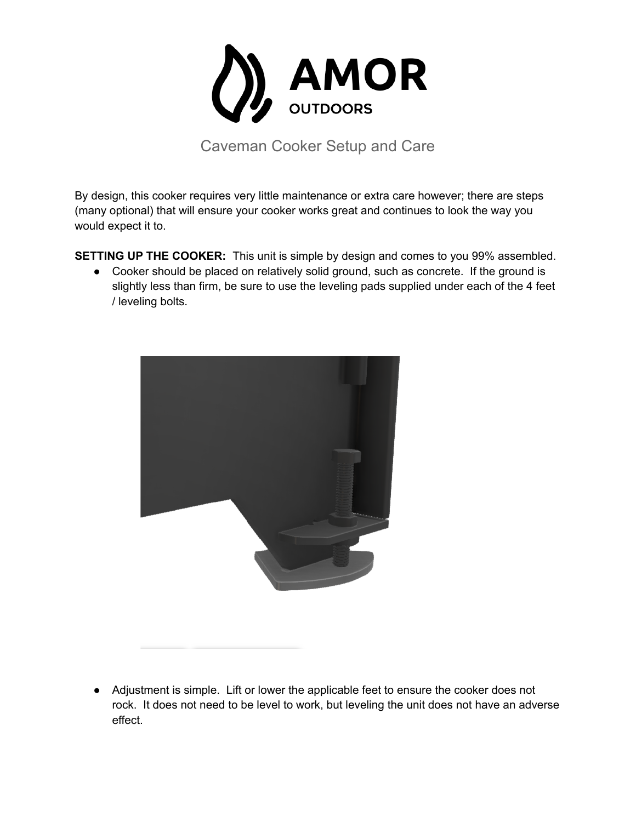

Caveman Cooker Setup and Care

By design, this cooker requires very little maintenance or extra care however; there are steps (many optional) that will ensure your cooker works great and continues to look the way you would expect it to.

**SETTING UP THE COOKER:** This unit is simple by design and comes to you 99% assembled.

• Cooker should be placed on relatively solid ground, such as concrete. If the ground is slightly less than firm, be sure to use the leveling pads supplied under each of the 4 feet / leveling bolts.



● Adjustment is simple. Lift or lower the applicable feet to ensure the cooker does not rock. It does not need to be level to work, but leveling the unit does not have an adverse effect.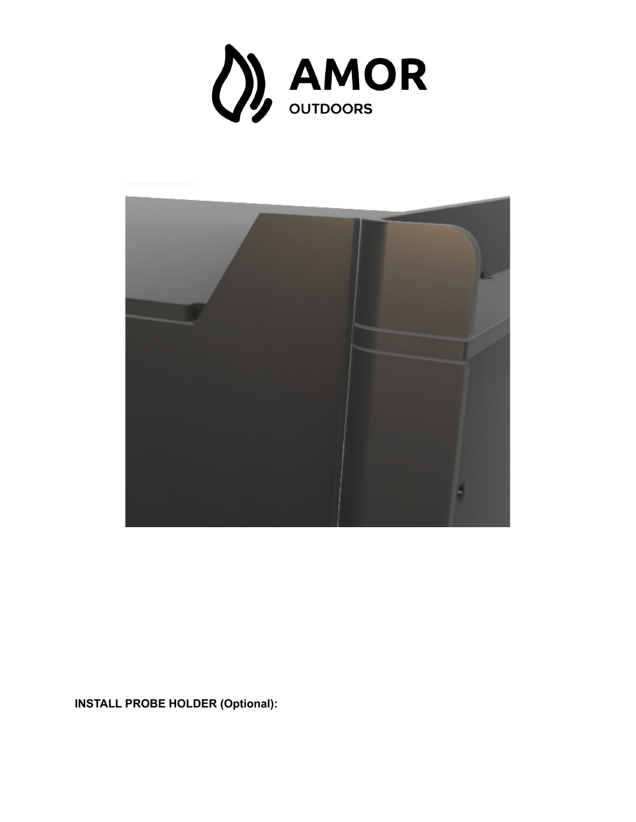



**INSTALL PROBE HOLDER (Optional):**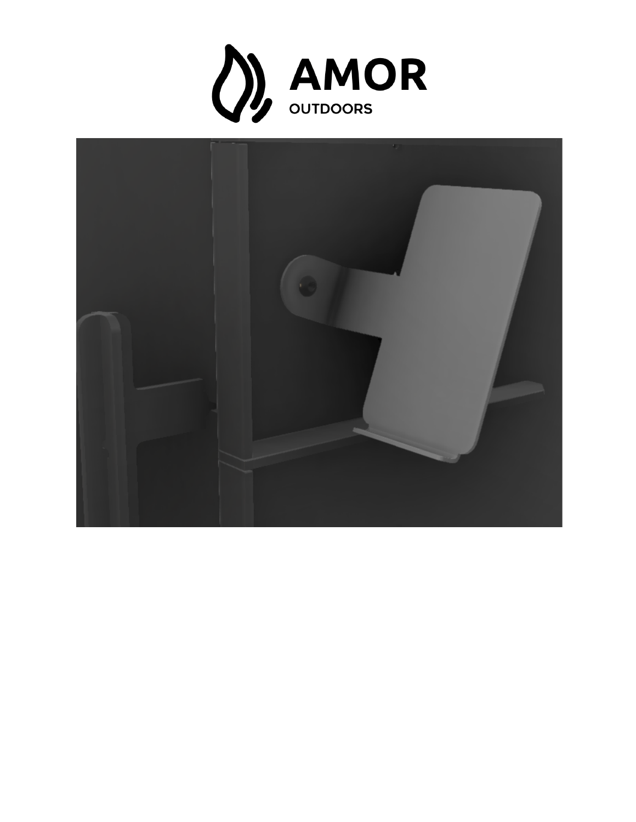